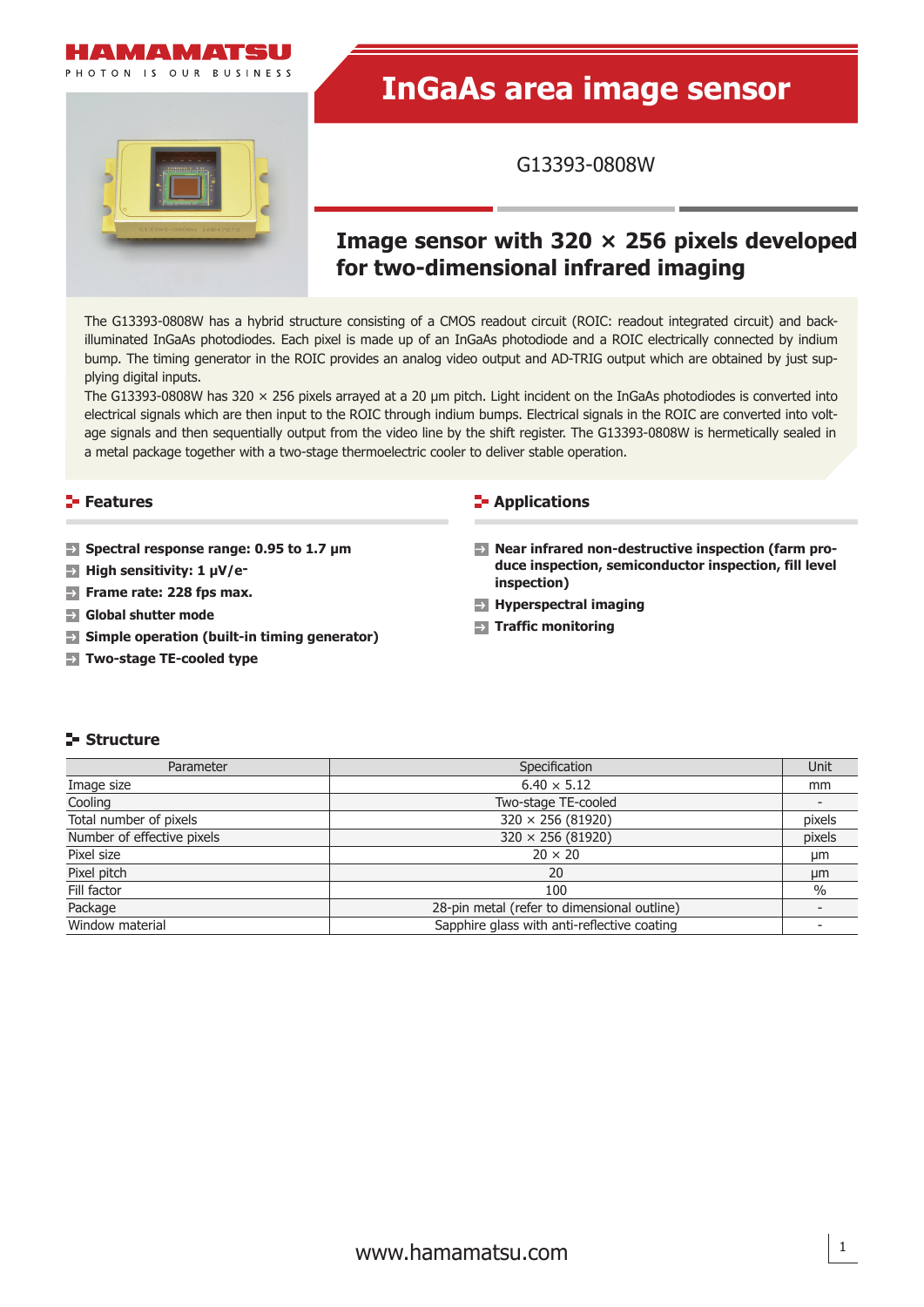

PHOTON IS OUR BUSINESS

# **InGaAs area image sensor**

G13393-0808W

# **Image sensor with 320 × 256 pixels developed for two-dimensional infrared imaging**

The G13393-0808W has a hybrid structure consisting of a CMOS readout circuit (ROIC: readout integrated circuit) and backilluminated InGaAs photodiodes. Each pixel is made up of an InGaAs photodiode and a ROIC electrically connected by indium bump. The timing generator in the ROIC provides an analog video output and AD-TRIG output which are obtained by just supplying digital inputs.

The G13393-0808W has 320 × 256 pixels arrayed at a 20 µm pitch. Light incident on the InGaAs photodiodes is converted into electrical signals which are then input to the ROIC through indium bumps. Electrical signals in the ROIC are converted into voltage signals and then sequentially output from the video line by the shift register. The G13393-0808W is hermetically sealed in a metal package together with a two-stage thermoelectric cooler to deliver stable operation.

# **Features**

- **Spectral response range: 0.95 to 1.7 μm**
- **High sensitivity: 1 μV/e-**
- **F** Frame rate: 228 fps max.
- **Global shutter mode**
- **Simple operation (built-in timing generator)**
- **Two-stage TE-cooled type**

#### **Applications**

- **Near infrared non-destructive inspection (farm produce inspection, semiconductor inspection, fill level inspection)**
- **Hyperspectral imaging**
- **Traffic monitoring**

#### **Structure**

| Parameter                  | Specification                               | Unit   |
|----------------------------|---------------------------------------------|--------|
| Image size                 | $6.40 \times 5.12$                          | mm     |
| Cooling                    | Two-stage TE-cooled                         |        |
| Total number of pixels     | $320 \times 256 (81920)$                    | pixels |
| Number of effective pixels | $320 \times 256 (81920)$                    | pixels |
| Pixel size                 | $20 \times 20$                              | µm     |
| Pixel pitch                | 20                                          | µm     |
| Fill factor                | 100                                         | $\%$   |
| Package                    | 28-pin metal (refer to dimensional outline) |        |
| Window material            | Sapphire glass with anti-reflective coating |        |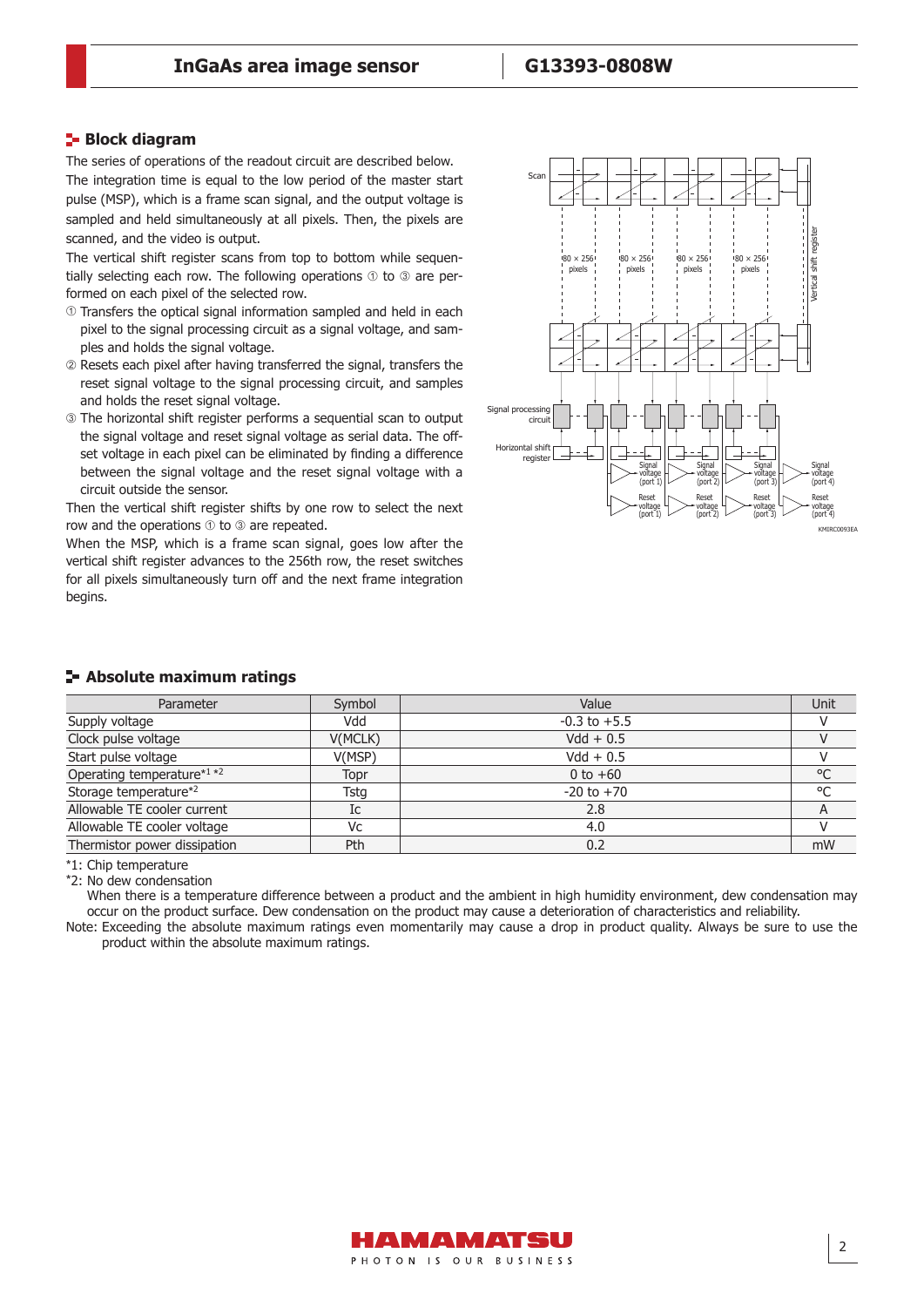#### **Block diagram**

The series of operations of the readout circuit are described below. The integration time is equal to the low period of the master start pulse (MSP), which is a frame scan signal, and the output voltage is sampled and held simultaneously at all pixels. Then, the pixels are scanned, and the video is output.

The vertical shift register scans from top to bottom while sequentially selecting each row. The following operations  $\odot$  to  $\odot$  are performed on each pixel of the selected row.

- Transfers the optical signal information sampled and held in each pixel to the signal processing circuit as a signal voltage, and samples and holds the signal voltage.
- Resets each pixel after having transferred the signal, transfers the reset signal voltage to the signal processing circuit, and samples and holds the reset signal voltage.
- The horizontal shift register performs a sequential scan to output the signal voltage and reset signal voltage as serial data. The offset voltage in each pixel can be eliminated by finding a difference between the signal voltage and the reset signal voltage with a circuit outside the sensor.

Then the vertical shift register shifts by one row to select the next row and the operations  $\odot$  to  $\odot$  are repeated.

When the MSP, which is a frame scan signal, goes low after the vertical shift register advances to the 256th row, the reset switches for all pixels simultaneously turn off and the next frame integration begins.



| - Absolute maximum ratings |  |  |  |
|----------------------------|--|--|--|
|----------------------------|--|--|--|

| Parameter                    | Symbol  | Value            | Unit |
|------------------------------|---------|------------------|------|
| Supply voltage               | Vdd     | $-0.3$ to $+5.5$ |      |
| Clock pulse voltage          | V(MCLK) | $Vdd + 0.5$      |      |
| Start pulse voltage          | V(MSP)  | $Vdd + 0.5$      |      |
| Operating temperature*1 *2   | Topr    | 0 to $+60$       | °C   |
| Storage temperature*2        | Tstg    | $-20$ to $+70$   | °C   |
| Allowable TE cooler current  | Ic      | 2.8              | A    |
| Allowable TE cooler voltage  | Vc      | 4.0              |      |
| Thermistor power dissipation | Pth     | 0.2              | mW   |

\*1: Chip temperature

\*2: No dew condensation

When there is a temperature difference between a product and the ambient in high humidity environment, dew condensation may occur on the product surface. Dew condensation on the product may cause a deterioration of characteristics and reliability.

Note: Exceeding the absolute maximum ratings even momentarily may cause a drop in product quality. Always be sure to use the product within the absolute maximum ratings.

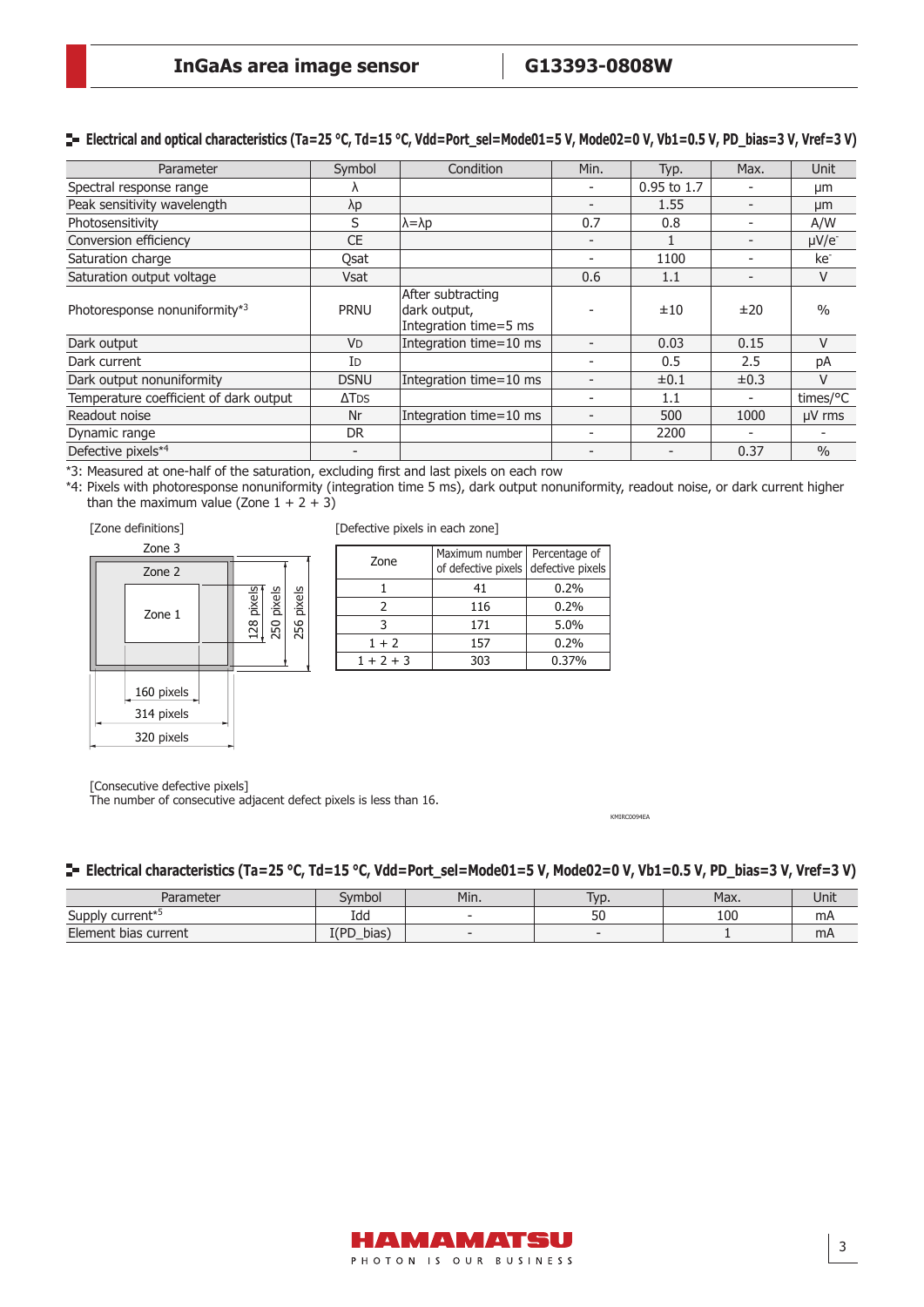# **Electrical and optical characteristics (Ta=25 °C, Td=15 °C, Vdd=Port\_sel=Mode01=5 V, Mode02=0 V, Vb1=0.5 V, PD\_bias=3 V, Vref=3 V)**

| Parameter                              | Symbol                   | Condition                                                  | Min. | Typ.          | Max.      | Unit            |
|----------------------------------------|--------------------------|------------------------------------------------------------|------|---------------|-----------|-----------------|
| Spectral response range                |                          |                                                            |      | $0.95$ to 1.7 |           | μm              |
| Peak sensitivity wavelength            | λp                       |                                                            |      | 1.55          |           | μm              |
| Photosensitivity                       | S                        | $\lambda = \lambda p$                                      | 0.7  | 0.8           |           | A/W             |
| Conversion efficiency                  | CE                       |                                                            |      |               |           | $\mu V/e^-$     |
| Saturation charge                      | Qsat                     |                                                            |      | 1100          |           | ke <sup>-</sup> |
| Saturation output voltage              | <b>Vsat</b>              |                                                            | 0.6  | 1.1           |           | V               |
| Photoresponse nonuniformity*3          | <b>PRNU</b>              | After subtracting<br>dark output,<br>Integration time=5 ms |      | ±10           | ±20       | $\frac{0}{0}$   |
| Dark output                            | <b>VD</b>                | Integration time=10 ms                                     |      | 0.03          | 0.15      | $\vee$          |
| Dark current                           | Id                       |                                                            |      | 0.5           | 2.5       | pA              |
| Dark output nonuniformity              | <b>DSNU</b>              | Integration time=10 ms                                     |      | $\pm 0.1$     | $\pm 0.3$ | V               |
| Temperature coefficient of dark output | $\Delta$ TDS             |                                                            |      | 1.1           |           | times/°C        |
| Readout noise                          | Nr                       | Integration time=10 ms                                     |      | 500           | 1000      | $\mu$ V rms     |
| Dynamic range                          | DR.                      |                                                            |      | 2200          |           |                 |
| Defective pixels*4                     | $\overline{\phantom{0}}$ |                                                            |      |               | 0.37      | $\frac{0}{0}$   |

\*3: Measured at one-half of the saturation, excluding first and last pixels on each row

\*4: Pixels with photoresponse nonuniformity (integration time 5 ms), dark output nonuniformity, readout noise, or dark current higher than the maximum value (Zone  $1 + 2 + 3$ )

#### [Zone definitions]



[Defective pixels in each zone]

| Zone        | Maximum number   Percentage of<br>of defective pixels defective pixels |       |
|-------------|------------------------------------------------------------------------|-------|
|             | 41                                                                     | 0.2%  |
| 7           | 116                                                                    | 0.2%  |
|             | 171                                                                    | 5.0%  |
| $1 + 2$     | 157                                                                    | 0.2%  |
| $1 + 2 + 3$ | 303                                                                    | 0.37% |

[Consecutive defective pixels]

The number of consecutive adjacent defect pixels is less than 16.

KMIRC0094EA

#### **Electrical characteristics (Ta=25 °C, Td=15 °C, Vdd=Port\_sel=Mode01=5 V, Mode02=0 V, Vb1=0.5 V, PD\_bias=3 V, Vref=3 V)**

| Parameter                       | Svmbol         | Min. | lyp.                     | Max. | Unit      |
|---------------------------------|----------------|------|--------------------------|------|-----------|
| current* <sup>5</sup><br>Supply | Idd            |      | 50                       | 100  | mA        |
| Element bias current            | I(PD)<br>bias. |      | $\overline{\phantom{a}}$ |      | <b>mA</b> |

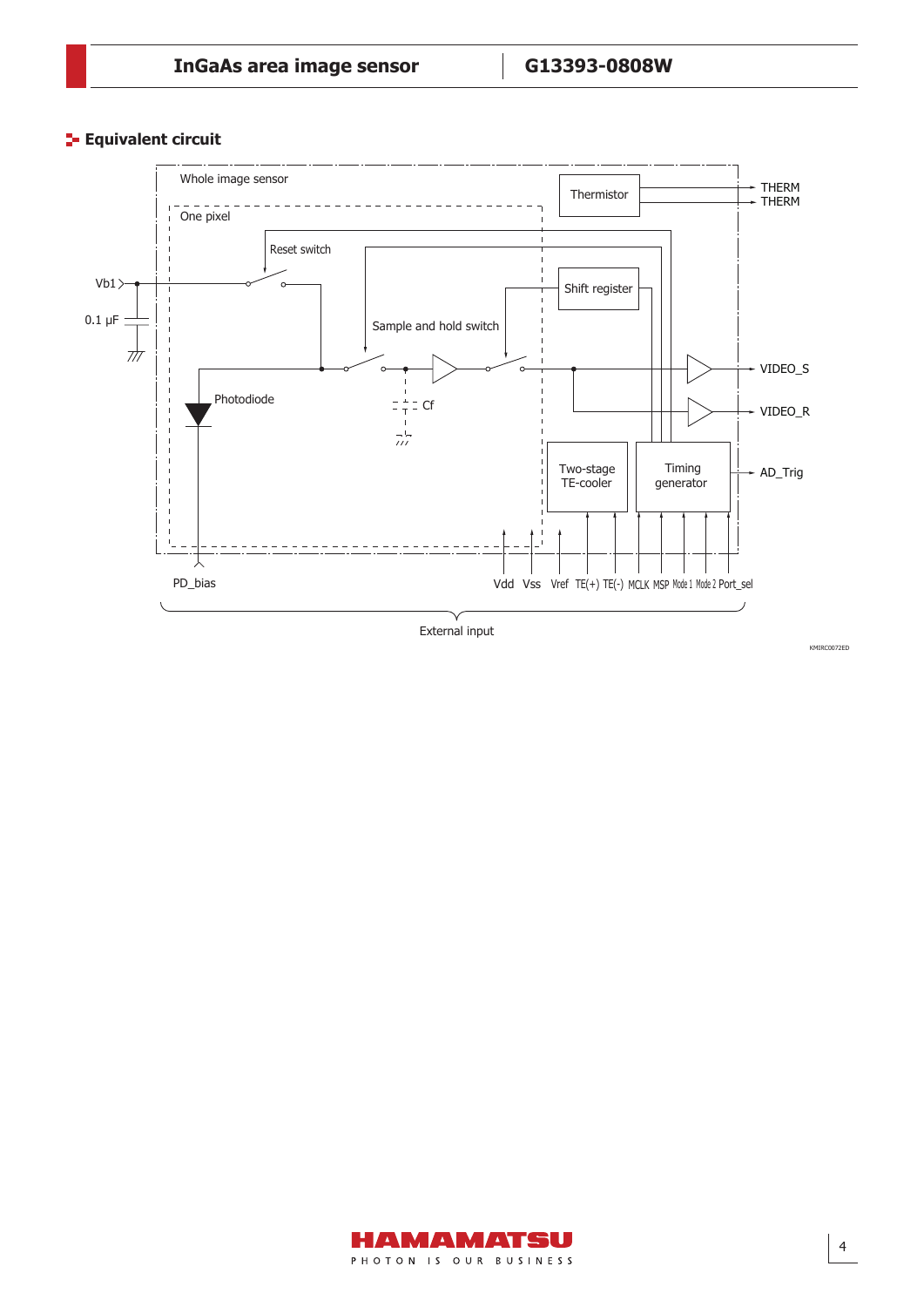**Equivalent circuit** 



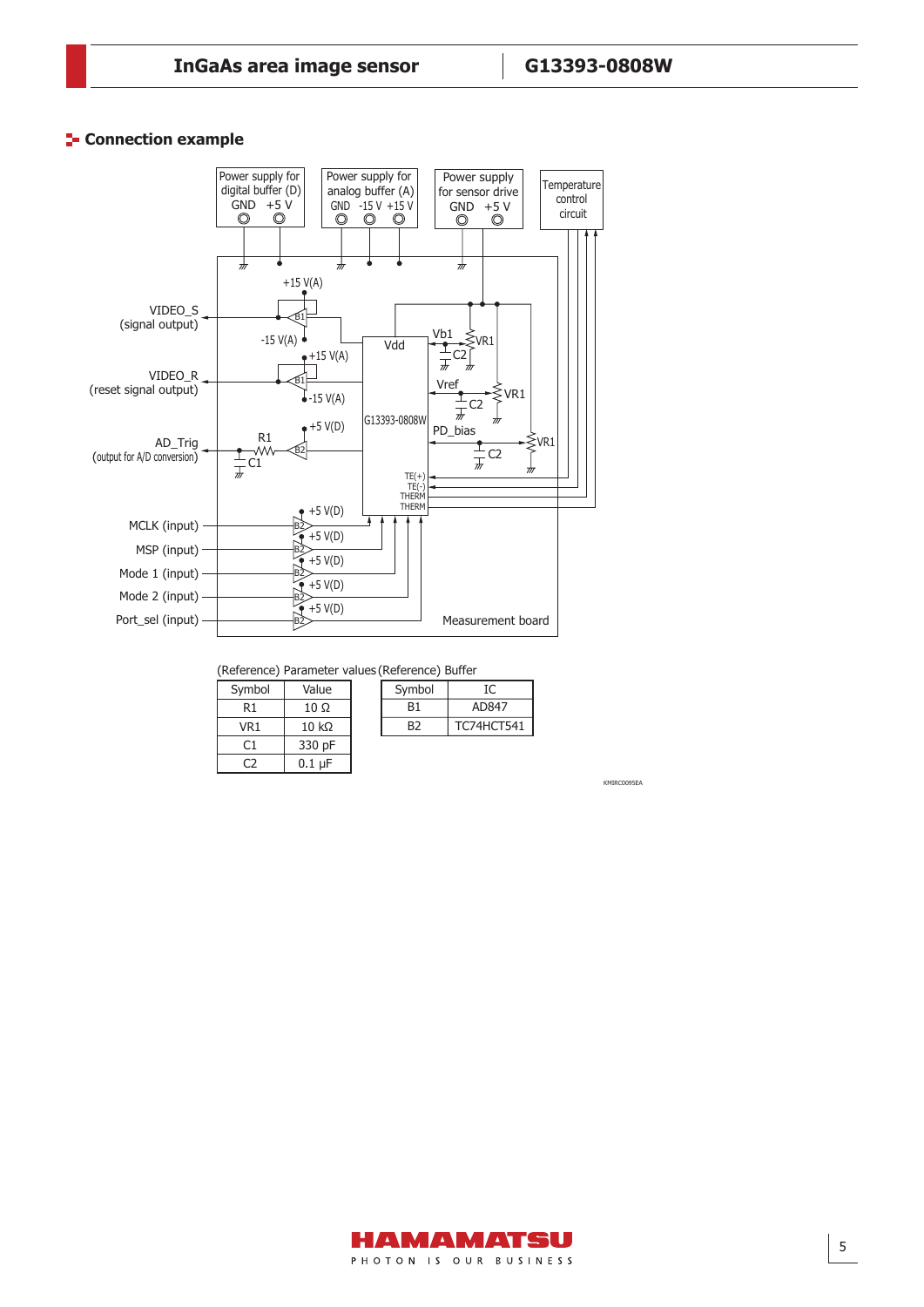#### **E-** Connection example

Connection example



(Reference) Parameter values (Reference) Buffer

| Symbol | Value        |
|--------|--------------|
| R1     | 10 Ω         |
| VR1    | $10 k\Omega$ |
| C1     | 330 pF       |
|        | 0.1 uF       |

| Symbol |                   |
|--------|-------------------|
| B1     | AD847             |
| B2     | <b>TC74HCT541</b> |
|        |                   |

KMIRC0095EA

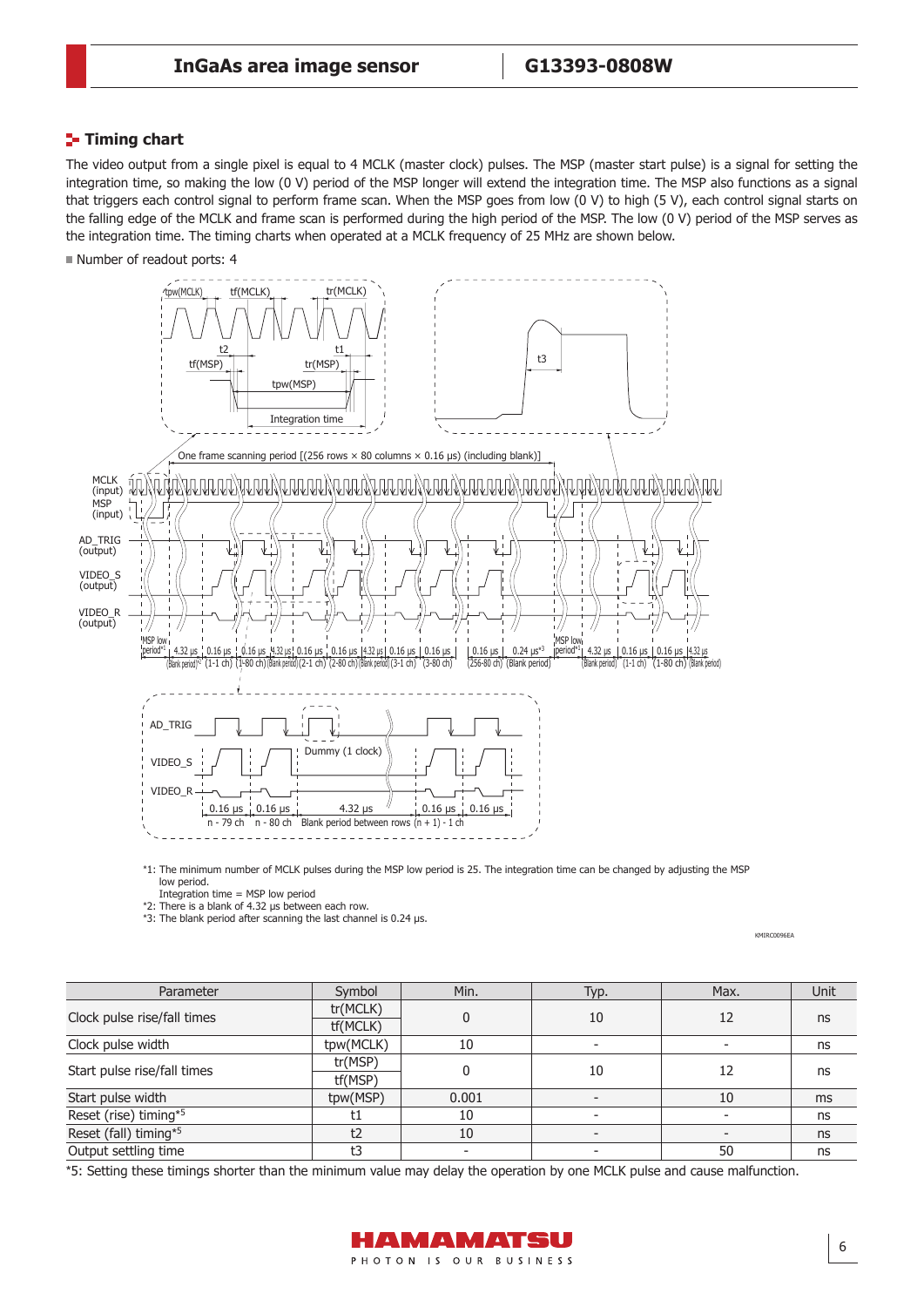# **Timing chart**

The video output from a single pixel is equal to 4 MCLK (master clock) pulses. The MSP (master start pulse) is a signal for setting the integration time, so making the low (0 V) period of the MSP longer will extend the integration time. The MSP also functions as a signal that triggers each control signal to perform frame scan. When the MSP goes from low (0 V) to high (5 V), each control signal starts on the falling edge of the MCLK and frame scan is performed during the high period of the MSP. The low (0 V) period of the MSP serves as the integration time. The timing charts when operated at a MCLK frequency of 25 MHz are shown below.

■ Number of readout ports: 4



\*1: The minimum number of MCLK pulses during the MSP low period is 25. The integration time can be changed by adjusting the MSP low period.

Integration time  $=$  MSP low period \*2: There is a blank of 4.32 μs between each row.

\*3: The blank period after scanning the last channel is 0.24 μs.

**KMIRC0096FA** 

| Parameter                   | Symbol    | Min.     | Typ. | Max. | Unit          |
|-----------------------------|-----------|----------|------|------|---------------|
|                             | tr(MCLK)  |          |      |      |               |
| Clock pulse rise/fall times | tf(MCLK)  | $\Omega$ | 10   | 12   | ns            |
| Clock pulse width           | tpw(MCLK) | 10       |      |      | ns            |
| Start pulse rise/fall times | tr(MSP)   |          |      |      | ns            |
|                             | tf(MSP)   | 0        | 10   | 12   |               |
| Start pulse width           | tpw(MSP)  | 0.001    |      | 10   | <sub>ms</sub> |
| Reset (rise) timing*5       |           | 10       |      |      | ns            |
| Reset (fall) timing*5       | t2        | 10       |      |      | ns            |
| Output settling time        | t٦        |          |      | 50   | ns            |

\*5: Setting these timings shorter than the minimum value may delay the operation by one MCLK pulse and cause malfunction.

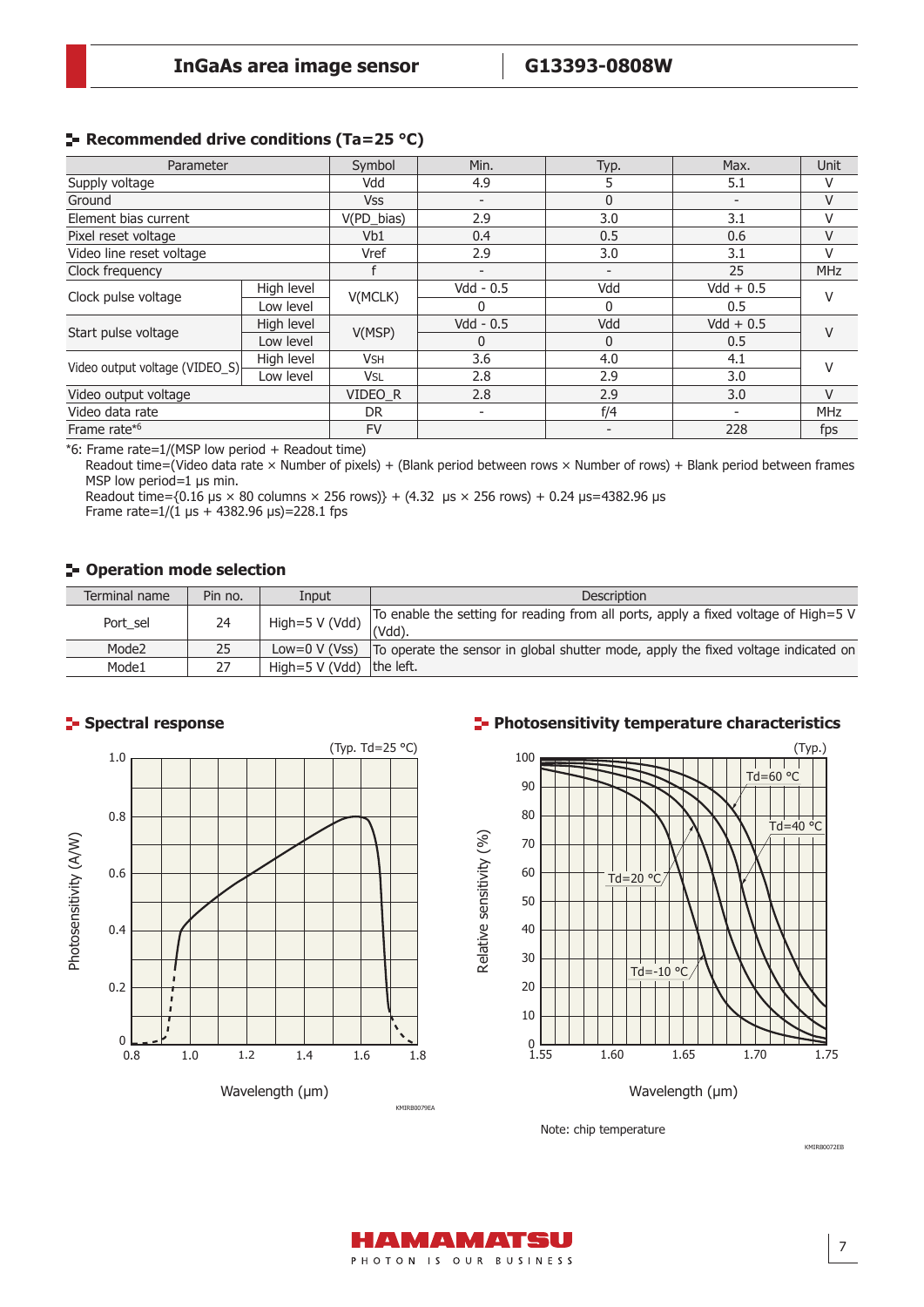# **Recommended drive conditions (Ta=25 °C)**

| Parameter                      |            | Symbol     | Min.                     | Typ.         | Max.                     | <b>Unit</b> |
|--------------------------------|------------|------------|--------------------------|--------------|--------------------------|-------------|
| Supply voltage                 | Vdd        |            | 4.9                      | 5            | 5.1                      | V           |
| Ground                         |            | <b>Vss</b> | $\overline{\phantom{a}}$ | $\Omega$     | $\overline{\phantom{a}}$ | V           |
| Element bias current           |            | V(PD_bias) | 2.9                      | 3.0          | 3.1                      | V           |
| Pixel reset voltage            |            | Vb1        | 0.4                      | 0.5          | 0.6                      | V           |
| Video line reset voltage       |            | Vref       | 2.9                      | 3.0          | 3.1                      | V           |
| Clock frequency                |            |            | $\overline{\phantom{a}}$ |              | 25                       | <b>MHz</b>  |
| Clock pulse voltage            | High level | V(MCLK)    | $Vdd - 0.5$              | Vdd          | $Vdd + 0.5$              | V           |
|                                | Low level  |            | 0                        | <sup>0</sup> | 0.5                      |             |
| Start pulse voltage            | High level | V(MSP)     | $Vdd - 0.5$              | Vdd          | $Vdd + 0.5$              | v           |
|                                | Low level  |            | $\Omega$                 | $\Omega$     | 0.5                      |             |
| Video output voltage (VIDEO_S) | High level | <b>VSH</b> | 3.6                      | 4.0          | 4.1                      | v           |
|                                | Low level  | <b>VSL</b> | 2.8                      | 2.9          | 3.0                      |             |
| Video output voltage           |            | VIDEO R    | 2.8                      | 2.9          | 3.0                      | $\vee$      |
| Video data rate                |            | DR.        | $\overline{\phantom{a}}$ | f/4          |                          | <b>MHz</b>  |
| Frame rate* <sup>6</sup>       |            | <b>FV</b>  |                          |              | 228                      | fps         |

\*6: Frame rate=1/(MSP low period + Readout time)

Readout time=(Video data rate × Number of pixels) + (Blank period between rows × Number of rows) + Blank period between frames MSP low period=1 µs min.

Readout time={0.16 µs  $\times$  80 columns  $\times$  256 rows}} + (4.32 µs  $\times$  256 rows) + 0.24 µs=4382.96 µs Frame rate= $1/(1 \text{ }\mu\text{s} + 4382.96 \text{ }\mu\text{s}) = 228.1 \text{ } \text{fps}$ 

### **F** Operation mode selection

| Terminal name     | Pin no. | Input               | <b>Description</b>                                                                            |
|-------------------|---------|---------------------|-----------------------------------------------------------------------------------------------|
| Port sel          | 24      | High=5 V (Vdd)      | To enable the setting for reading from all ports, apply a fixed voltage of High=5 V<br>(Vdd). |
| Mode <sub>2</sub> | 25      | Low= $0 \vee (Vss)$ | To operate the sensor in global shutter mode, apply the fixed voltage indicated on            |
| Mode1             | 27      | High= $5$ V (Vdd)   | the left.                                                                                     |

#### **Spectral response**



### **Photosensitivity temperature characteristics**



Wavelength (µm)

Note: chip temperature



KMIRB0072EB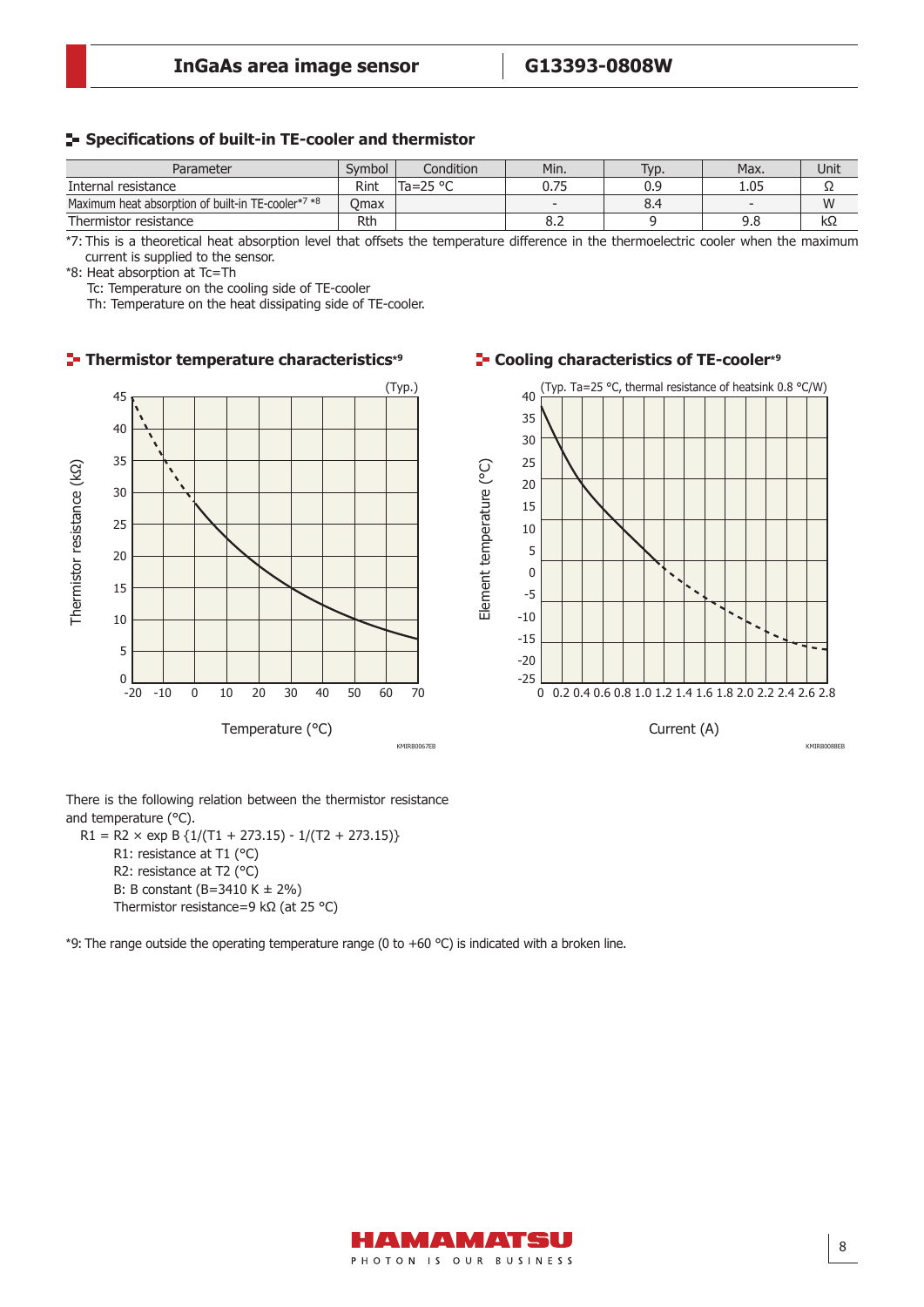#### **S** Specifications of built-in TE-cooler and thermistor Cooling characteristics (TE-cooler, excluding MCT)

| Parameter                                          | Svmbol    | Condition         | Min.                     | Typ. | Max. | Unit |
|----------------------------------------------------|-----------|-------------------|--------------------------|------|------|------|
| Internal resistance                                | Rint      | Ta=25 $\degree$ C | 0.75                     | 0.9  | 1.05 | ے د  |
| Maximum heat absorption of built-in TE-cooler*7 *8 | .<br>Jmax |                   | $\overline{\phantom{a}}$ | 8.4  |      | W    |
| Thermistor resistance                              | Rtŀ       |                   | o.z                      |      | 9.8  | kΩ   |

\*7: This is a theoretical heat absorption level that offsets the temperature difference in the thermoelectric cooler when the maximum current is supplied to the sensor.

\*8: Heat absorption at Tc=Th

Tc: Temperature on the cooling side of TE-cooler

Th: Temperature on the heat dissipating side of TE-cooler.



There is the following relation between the thermistor resistance and temperature (°C).

 $R1 = R2 \times \exp B \{1/(T1 + 273.15) - 1/(T2 + 273.15)\}$ R1: resistance at T1 (°C) R2: resistance at T2 (°C) B: B constant (B=3410 K ± 2%) Thermistor resistance=9 kΩ (at 25 °C)

\*9: The range outside the operating temperature range (0 to +60 °C) is indicated with a broken line.

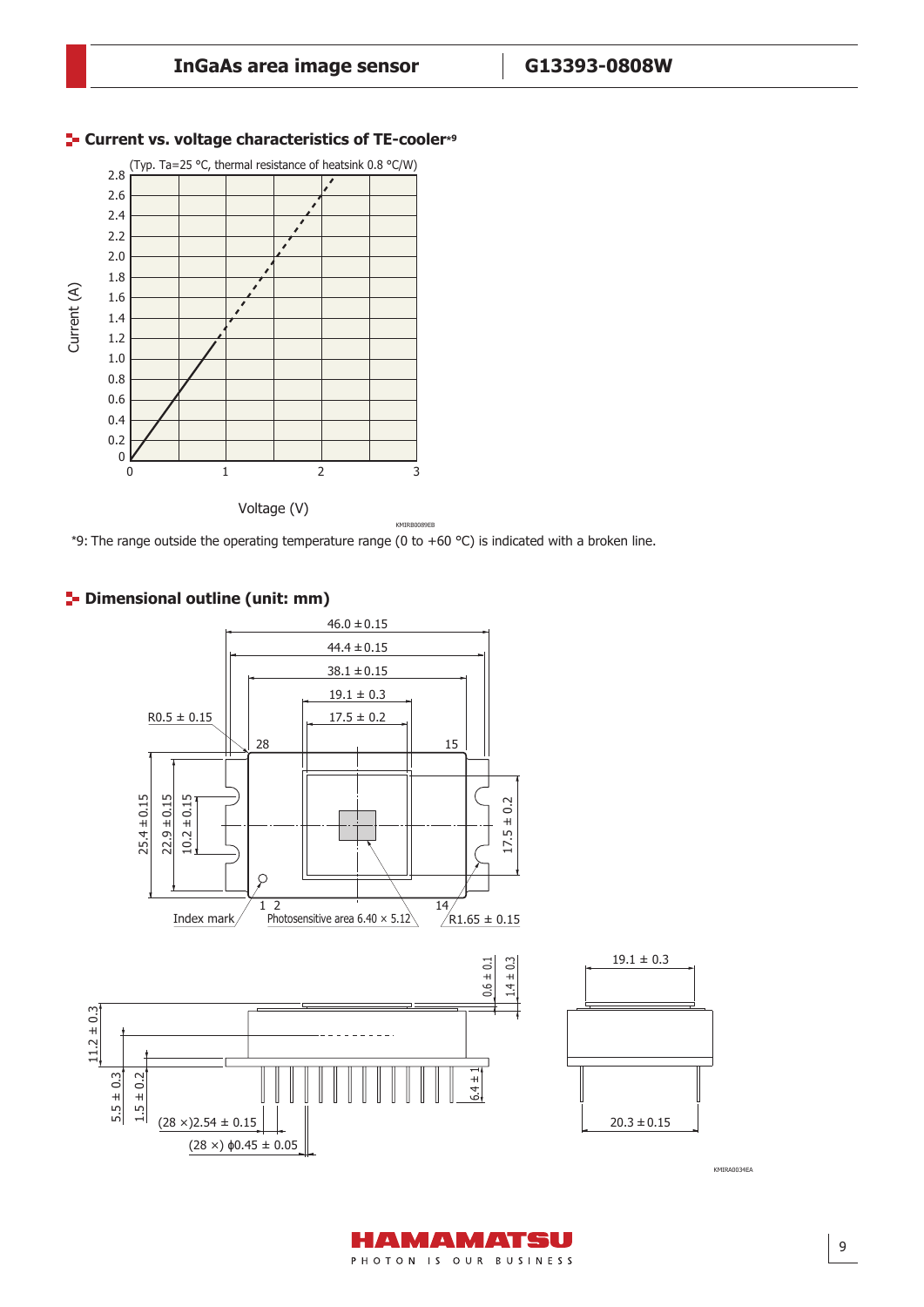

#### **Current vs. voltage characteristics of TE-cooler\*<sup>9</sup>**

\*9: The range outside the operating temperature range (0 to +60  $^{\circ}$ C) is indicated with a broken line.



# **2- Dimensional outline (unit: mm)**

KMIRA0034EA



KMIRA0034EA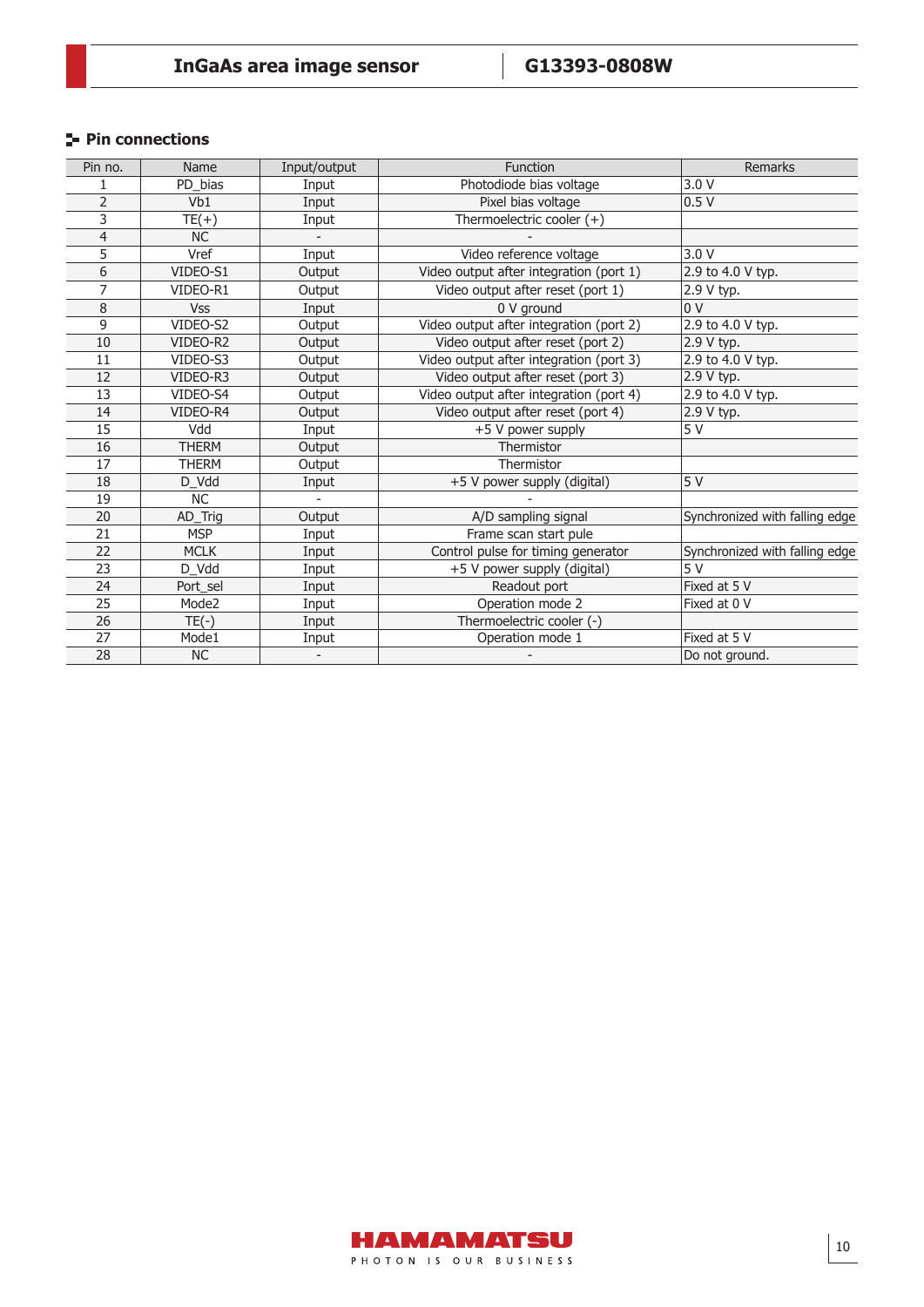# **Pin connections**

| Pin no.         | <b>Name</b>  | Input/output   | <b>Function</b>                         | Remarks                        |
|-----------------|--------------|----------------|-----------------------------------------|--------------------------------|
|                 | PD_bias      | Input          | Photodiode bias voltage                 | 3.0V                           |
| $\overline{2}$  | Vb1          | Input          | Pixel bias voltage                      | 0.5V                           |
| 3               | $TE(+)$      | Input          | Thermoelectric cooler $(+)$             |                                |
| 4               | <b>NC</b>    |                |                                         |                                |
| 5               | Vref         | Input          | Video reference voltage                 | 3.0V                           |
| 6               | VIDEO-S1     | Output         | Video output after integration (port 1) | 2.9 to 4.0 V typ.              |
| 7               | VIDEO-R1     | Output         | Video output after reset (port 1)       | 2.9 V typ.                     |
| 8               | <b>Vss</b>   | Input          | 0 V ground                              | 0 <sup>0</sup>                 |
| 9               | VIDEO-S2     | Output         | Video output after integration (port 2) | 2.9 to 4.0 V typ.              |
| 10              | VIDEO-R2     | Output         | Video output after reset (port 2)       | 2.9 V typ.                     |
| 11              | VIDEO-S3     | Output         | Video output after integration (port 3) | 2.9 to 4.0 V typ.              |
| 12              | VIDEO-R3     | Output         | Video output after reset (port 3)       | 2.9 V typ.                     |
| 13              | VIDEO-S4     | Output         | Video output after integration (port 4) | 2.9 to 4.0 V typ.              |
| 14              | VIDEO-R4     | Output         | Video output after reset (port 4)       | 2.9 V typ.                     |
| 15              | Vdd          | Input          | +5 V power supply                       | 5V                             |
| $\overline{16}$ | <b>THERM</b> | Output         | Thermistor                              |                                |
| 17              | THERM        | Output         | Thermistor                              |                                |
| 18              | D_Vdd        | Input          | +5 V power supply (digital)             | 5V                             |
| 19              | <b>NC</b>    | $\overline{a}$ |                                         |                                |
| 20              | AD_Trig      | Output         | A/D sampling signal                     | Synchronized with falling edge |
| 21              | <b>MSP</b>   | Input          | Frame scan start pule                   |                                |
| 22              | <b>MCLK</b>  | Input          | Control pulse for timing generator      | Synchronized with falling edge |
| 23              | D_Vdd        | Input          | +5 V power supply (digital)             | 5V                             |
| 24              | Port sel     | Input          | Readout port                            | Fixed at 5 V                   |
| $\overline{25}$ | Mode2        | Input          | Operation mode 2                        | Fixed at 0 V                   |
| 26              | $TE(-)$      | Input          | Thermoelectric cooler (-)               |                                |
| 27              | Mode1        | Input          | Operation mode 1                        | Fixed at 5 V                   |
| 28              | <b>NC</b>    |                |                                         | Do not ground.                 |